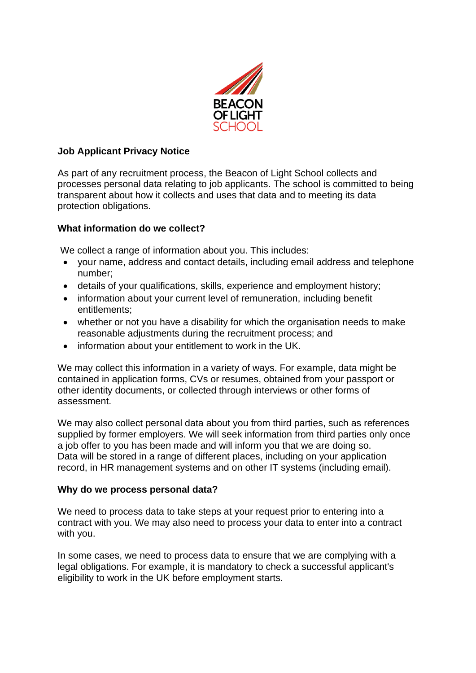

# **Job Applicant Privacy Notice**

As part of any recruitment process, the Beacon of Light School collects and processes personal data relating to job applicants. The school is committed to being transparent about how it collects and uses that data and to meeting its data protection obligations.

## **What information do we collect?**

We collect a range of information about you. This includes:

- your name, address and contact details, including email address and telephone number;
- details of your qualifications, skills, experience and employment history;
- information about your current level of remuneration, including benefit entitlements;
- whether or not you have a disability for which the organisation needs to make reasonable adjustments during the recruitment process; and
- information about your entitlement to work in the UK.

We may collect this information in a variety of ways. For example, data might be contained in application forms, CVs or resumes, obtained from your passport or other identity documents, or collected through interviews or other forms of assessment.

We may also collect personal data about you from third parties, such as references supplied by former employers. We will seek information from third parties only once a job offer to you has been made and will inform you that we are doing so. Data will be stored in a range of different places, including on your application record, in HR management systems and on other IT systems (including email).

## **Why do we process personal data?**

We need to process data to take steps at your request prior to entering into a contract with you. We may also need to process your data to enter into a contract with you.

In some cases, we need to process data to ensure that we are complying with a legal obligations. For example, it is mandatory to check a successful applicant's eligibility to work in the UK before employment starts.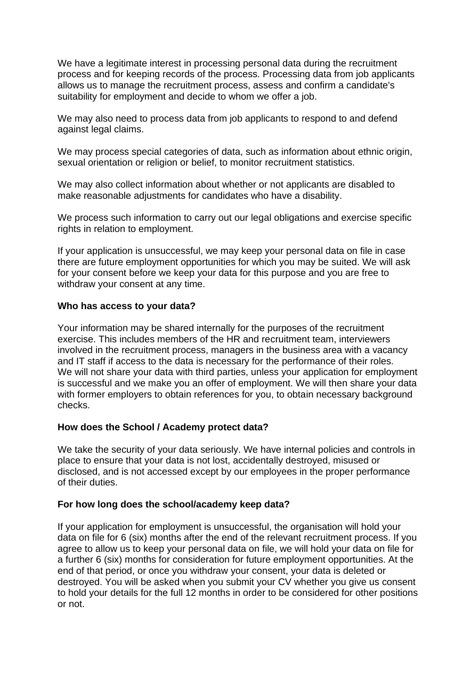We have a legitimate interest in processing personal data during the recruitment process and for keeping records of the process. Processing data from job applicants allows us to manage the recruitment process, assess and confirm a candidate's suitability for employment and decide to whom we offer a job.

We may also need to process data from job applicants to respond to and defend against legal claims.

We may process special categories of data, such as information about ethnic origin, sexual orientation or religion or belief, to monitor recruitment statistics.

We may also collect information about whether or not applicants are disabled to make reasonable adjustments for candidates who have a disability.

We process such information to carry out our legal obligations and exercise specific rights in relation to employment.

If your application is unsuccessful, we may keep your personal data on file in case there are future employment opportunities for which you may be suited. We will ask for your consent before we keep your data for this purpose and you are free to withdraw your consent at any time.

#### **Who has access to your data?**

Your information may be shared internally for the purposes of the recruitment exercise. This includes members of the HR and recruitment team, interviewers involved in the recruitment process, managers in the business area with a vacancy and IT staff if access to the data is necessary for the performance of their roles. We will not share your data with third parties, unless your application for employment is successful and we make you an offer of employment. We will then share your data with former employers to obtain references for you, to obtain necessary background checks.

## **How does the School / Academy protect data?**

We take the security of your data seriously. We have internal policies and controls in place to ensure that your data is not lost, accidentally destroyed, misused or disclosed, and is not accessed except by our employees in the proper performance of their duties.

#### **For how long does the school/academy keep data?**

If your application for employment is unsuccessful, the organisation will hold your data on file for 6 (six) months after the end of the relevant recruitment process. If you agree to allow us to keep your personal data on file, we will hold your data on file for a further 6 (six) months for consideration for future employment opportunities. At the end of that period, or once you withdraw your consent, your data is deleted or destroyed. You will be asked when you submit your CV whether you give us consent to hold your details for the full 12 months in order to be considered for other positions or not.